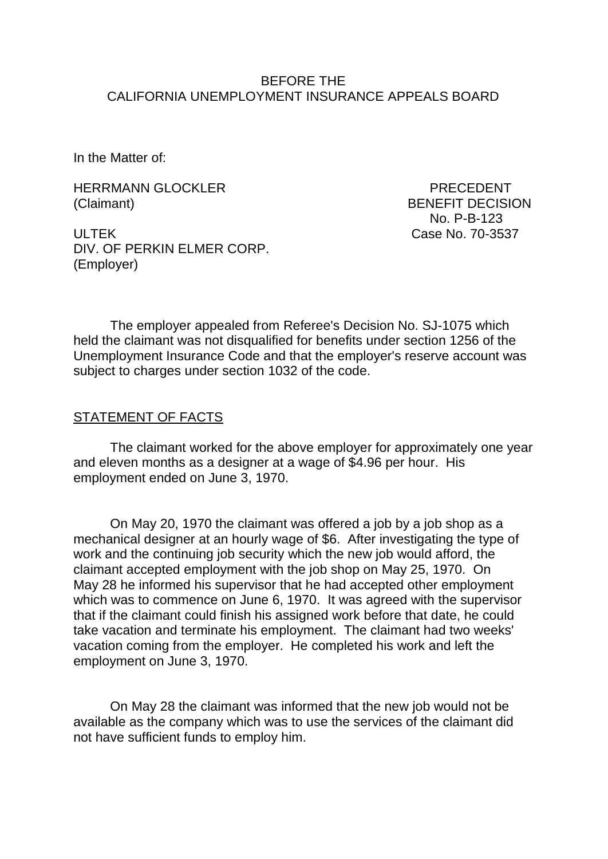### BEFORE THE CALIFORNIA UNEMPLOYMENT INSURANCE APPEALS BOARD

In the Matter of:

HERRMANN GLOCKLER PRECEDENT (Claimant) BENEFIT DECISION

No. P-B-123

ULTEK Case No. 70-3537 DIV. OF PERKIN ELMER CORP. (Employer)

The employer appealed from Referee's Decision No. SJ-1075 which held the claimant was not disqualified for benefits under section 1256 of the Unemployment Insurance Code and that the employer's reserve account was subject to charges under section 1032 of the code.

#### STATEMENT OF FACTS

The claimant worked for the above employer for approximately one year and eleven months as a designer at a wage of \$4.96 per hour. His employment ended on June 3, 1970.

On May 20, 1970 the claimant was offered a job by a job shop as a mechanical designer at an hourly wage of \$6. After investigating the type of work and the continuing job security which the new job would afford, the claimant accepted employment with the job shop on May 25, 1970. On May 28 he informed his supervisor that he had accepted other employment which was to commence on June 6, 1970. It was agreed with the supervisor that if the claimant could finish his assigned work before that date, he could take vacation and terminate his employment. The claimant had two weeks' vacation coming from the employer. He completed his work and left the employment on June 3, 1970.

On May 28 the claimant was informed that the new job would not be available as the company which was to use the services of the claimant did not have sufficient funds to employ him.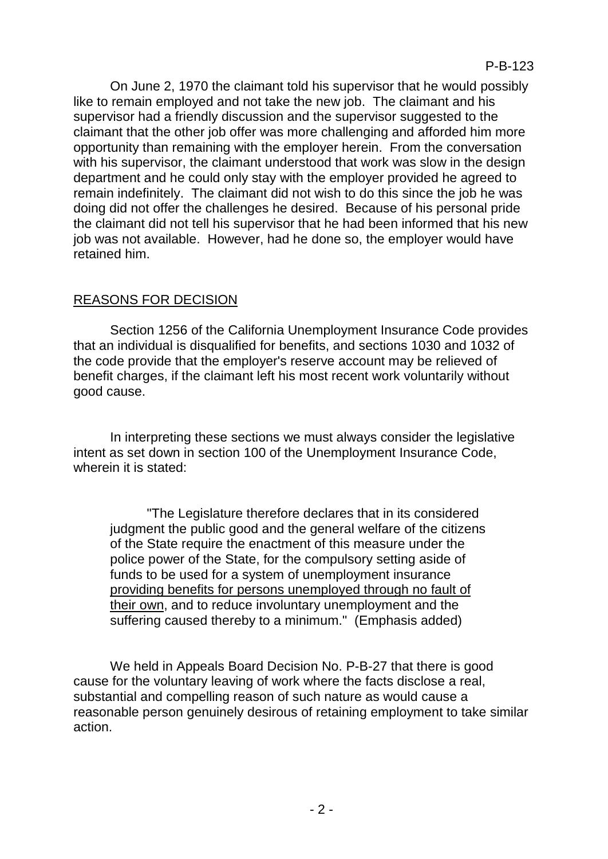On June 2, 1970 the claimant told his supervisor that he would possibly like to remain employed and not take the new job. The claimant and his supervisor had a friendly discussion and the supervisor suggested to the claimant that the other job offer was more challenging and afforded him more opportunity than remaining with the employer herein. From the conversation with his supervisor, the claimant understood that work was slow in the design department and he could only stay with the employer provided he agreed to remain indefinitely. The claimant did not wish to do this since the job he was doing did not offer the challenges he desired. Because of his personal pride the claimant did not tell his supervisor that he had been informed that his new job was not available. However, had he done so, the employer would have retained him.

# REASONS FOR DECISION

Section 1256 of the California Unemployment Insurance Code provides that an individual is disqualified for benefits, and sections 1030 and 1032 of the code provide that the employer's reserve account may be relieved of benefit charges, if the claimant left his most recent work voluntarily without good cause.

In interpreting these sections we must always consider the legislative intent as set down in section 100 of the Unemployment Insurance Code, wherein it is stated:

"The Legislature therefore declares that in its considered judgment the public good and the general welfare of the citizens of the State require the enactment of this measure under the police power of the State, for the compulsory setting aside of funds to be used for a system of unemployment insurance providing benefits for persons unemployed through no fault of their own, and to reduce involuntary unemployment and the suffering caused thereby to a minimum." (Emphasis added)

We held in Appeals Board Decision No. P-B-27 that there is good cause for the voluntary leaving of work where the facts disclose a real, substantial and compelling reason of such nature as would cause a reasonable person genuinely desirous of retaining employment to take similar action.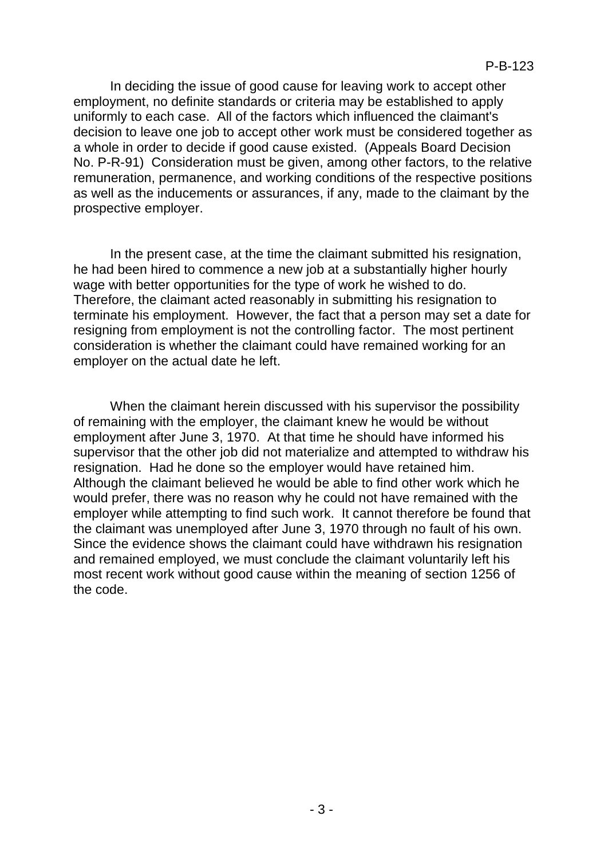In deciding the issue of good cause for leaving work to accept other employment, no definite standards or criteria may be established to apply uniformly to each case. All of the factors which influenced the claimant's decision to leave one job to accept other work must be considered together as a whole in order to decide if good cause existed. (Appeals Board Decision No. P-R-91) Consideration must be given, among other factors, to the relative remuneration, permanence, and working conditions of the respective positions as well as the inducements or assurances, if any, made to the claimant by the prospective employer.

In the present case, at the time the claimant submitted his resignation, he had been hired to commence a new job at a substantially higher hourly wage with better opportunities for the type of work he wished to do. Therefore, the claimant acted reasonably in submitting his resignation to terminate his employment. However, the fact that a person may set a date for resigning from employment is not the controlling factor. The most pertinent consideration is whether the claimant could have remained working for an employer on the actual date he left.

When the claimant herein discussed with his supervisor the possibility of remaining with the employer, the claimant knew he would be without employment after June 3, 1970. At that time he should have informed his supervisor that the other job did not materialize and attempted to withdraw his resignation. Had he done so the employer would have retained him. Although the claimant believed he would be able to find other work which he would prefer, there was no reason why he could not have remained with the employer while attempting to find such work. It cannot therefore be found that the claimant was unemployed after June 3, 1970 through no fault of his own. Since the evidence shows the claimant could have withdrawn his resignation and remained employed, we must conclude the claimant voluntarily left his most recent work without good cause within the meaning of section 1256 of the code.